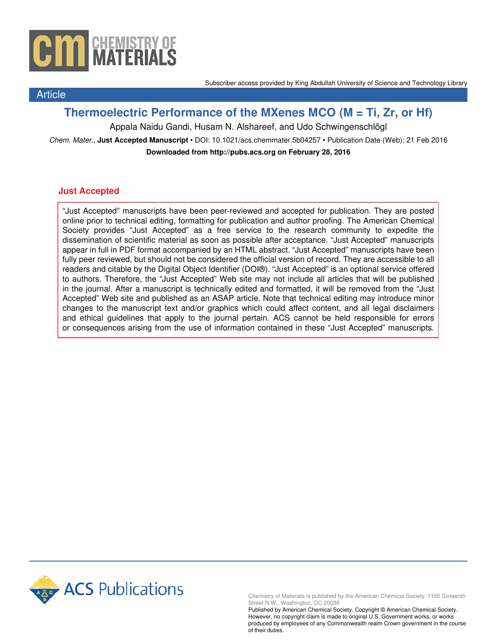

Subscriber access provided by King Abdullah University of Science and Technology Library

# **Thermoelectric Performance of the MXenes M<sup>2</sup> CO<sup>2</sup> (M = Ti, Zr, or Hf)**

Appala Naidu Gandi, Husam N. Alshareef, and Udo Schwingenschlögl

Chem. Mater., **Just Accepted Manuscript** • DOI: 10.1021/acs.chemmater.5b04257 • Publication Date (Web): 21 Feb 2016 **Downloaded from http://pubs.acs.org on February 28, 2016**

### **Just Accepted**

Article

"Just Accepted" manuscripts have been peer-reviewed and accepted for publication. They are posted online prior to technical editing, formatting for publication and author proofing. The American Chemical Society provides "Just Accepted" as a free service to the research community to expedite the dissemination of scientific material as soon as possible after acceptance. "Just Accepted" manuscripts appear in full in PDF format accompanied by an HTML abstract. "Just Accepted" manuscripts have been fully peer reviewed, but should not be considered the official version of record. They are accessible to all readers and citable by the Digital Object Identifier (DOI®). "Just Accepted" is an optional service offered to authors. Therefore, the "Just Accepted" Web site may not include all articles that will be published in the journal. After a manuscript is technically edited and formatted, it will be removed from the "Just Accepted" Web site and published as an ASAP article. Note that technical editing may introduce minor changes to the manuscript text and/or graphics which could affect content, and all legal disclaimers and ethical guidelines that apply to the journal pertain. ACS cannot be held responsible for errors or consequences arising from the use of information contained in these "Just Accepted" manuscripts.



Chemistry of Materials is published by the American Chemical Society. 1155 Sixteenth Street N.W., Washington, DC 20036

Published by American Chemical Society. Copyright © American Chemical Society. However, no copyright claim is made to original U.S. Government works, or works produced by employees of any Commonwealth realm Crown government in the course of their duties.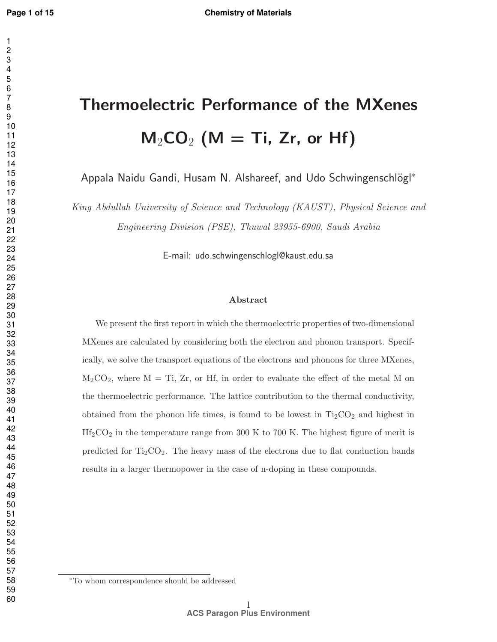# Thermoelectric Performance of the MXenes  $M_2CO_2$  (M = Ti, Zr, or Hf) Appala Naidu Gandi, Husam N. Alshareef, and Udo Schwingenschlögl<sup>\*</sup> *King Abdullah University of Science and Technology (KAUST), Physical Science and Engineering Division (PSE), Thuwal 23955-6900, Saudi Arabia*

E-mail: udo.schwingenschlogl@kaust.edu.sa

#### Abstract

We present the first report in which the thermoelectric properties of two-dimensional MXenes are calculated by considering both the electron and phonon transport. Specifically, we solve the transport equations of the electrons and phonons for three MXenes,  $M_2CO_2$ , where  $M = Ti$ ,  $Zr$ , or Hf, in order to evaluate the effect of the metal M on the thermoelectric performance. The lattice contribution to the thermal conductivity, obtained from the phonon life times, is found to be lowest in  $Ti<sub>2</sub>CO<sub>2</sub>$  and highest in  $\rm Hf_2CO_2$  in the temperature range from 300 K to 700 K. The highest figure of merit is predicted for  $Ti_2CO_2$ . The heavy mass of the electrons due to flat conduction bands results in a larger thermopower in the case of n-doping in these compounds.

<sup>∗</sup>To whom correspondence should be addressed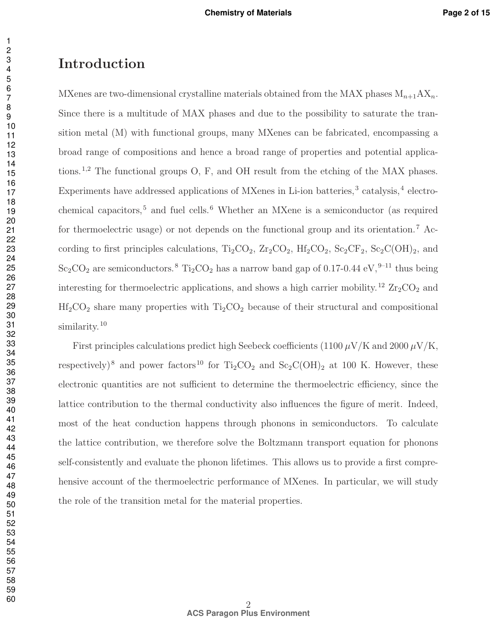## Introduction

MXenes are two-dimensional crystalline materials obtained from the MAX phases  $M_{n+1}AX_n$ . Since there is a multitude of MAX phases and due to the possibility to saturate the transition metal (M) with functional groups, many MXenes can be fabricated, encompassing a broad range of compositions and hence a broad range of properties and potential applications.1,2 The functional groups O, F, and OH result from the etching of the MAX phases. Experiments have addressed applications of MXenes in Li-ion batteries,<sup>3</sup> catalysis,<sup>4</sup> electrochemical capacitors,<sup>5</sup> and fuel cells.<sup>6</sup> Whether an MXene is a semiconductor (as required for thermoelectric usage) or not depends on the functional group and its orientation.<sup>7</sup> According to first principles calculations,  $Ti_2CO_2$ ,  $Zr_2CO_2$ ,  $Hf_2CO_2$ ,  $Sc_2CF_2$ ,  $Sc_2C(OH)_2$ , and  $Sc_2CO_2$  are semiconductors.<sup>8</sup> Ti<sub>2</sub>CO<sub>2</sub> has a narrow band gap of 0.17-0.44 eV,<sup>9-11</sup> thus being interesting for thermoelectric applications, and shows a high carrier mobility.<sup>12</sup>  $\rm Zr_2CO_2$  and  $Hf_2CO_2$  share many properties with  $Ti_2CO_2$  because of their structural and compositional similarity.<sup>10</sup>

First principles calculations predict high Seebeck coefficients (1100  $\mu$ V/K and 2000  $\mu$ V/K, respectively)<sup>8</sup> and power factors<sup>10</sup> for Ti<sub>2</sub>CO<sub>2</sub> and Sc<sub>2</sub>C(OH)<sub>2</sub> at 100 K. However, these electronic quantities are not sufficient to determine the thermoelectric efficiency, since the lattice contribution to the thermal conductivity also influences the figure of merit. Indeed, most of the heat conduction happens through phonons in semiconductors. To calculate the lattice contribution, we therefore solve the Boltzmann transport equation for phonons self-consistently and evaluate the phonon lifetimes. This allows us to provide a first comprehensive account of the thermoelectric performance of MXenes. In particular, we will study the role of the transition metal for the material properties.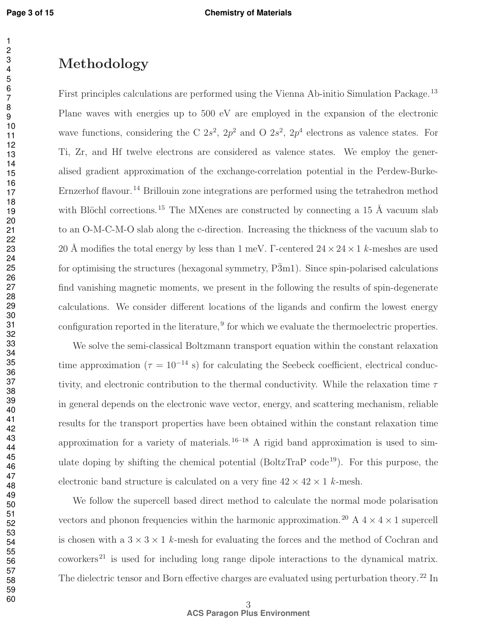## Methodology

First principles calculations are performed using the Vienna Ab-initio Simulation Package.<sup>13</sup> Plane waves with energies up to 500 eV are employed in the expansion of the electronic wave functions, considering the C  $2s^2$ ,  $2p^2$  and O  $2s^2$ ,  $2p^4$  electrons as valence states. For Ti, Zr, and Hf twelve electrons are considered as valence states. We employ the generalised gradient approximation of the exchange-correlation potential in the Perdew-Burke-Ernzerhof flavour.<sup>14</sup> Brillouin zone integrations are performed using the tetrahedron method with Blöchl corrections.<sup>15</sup> The MXenes are constructed by connecting a 15 Å vacuum slab to an O-M-C-M-O slab along the c-direction. Increasing the thickness of the vacuum slab to 20 Å modifies the total energy by less than 1 meV.  $\Gamma$ -centered  $24 \times 24 \times 1$  *k*-meshes are used for optimising the structures (hexagonal symmetry,  $\overline{P3}m1$ ). Since spin-polarised calculations find vanishing magnetic moments, we present in the following the results of spin-degenerate calculations. We consider different locations of the ligands and confirm the lowest energy configuration reported in the literature,<sup>9</sup> for which we evaluate the thermoelectric properties.

We solve the semi-classical Boltzmann transport equation within the constant relaxation time approximation ( $\tau = 10^{-14}$  s) for calculating the Seebeck coefficient, electrical conductivity, and electronic contribution to the thermal conductivity. While the relaxation time  $\tau$ in general depends on the electronic wave vector, energy, and scattering mechanism, reliable results for the transport properties have been obtained within the constant relaxation time approximation for a variety of materials.<sup>16–18</sup> A rigid band approximation is used to simulate doping by shifting the chemical potential (BoltzTraP code<sup>19</sup>). For this purpose, the electronic band structure is calculated on a very fine  $42 \times 42 \times 1$  *k*-mesh.

We follow the supercell based direct method to calculate the normal mode polarisation vectors and phonon frequencies within the harmonic approximation.<sup>20</sup> A  $4 \times 4 \times 1$  supercell is chosen with a  $3 \times 3 \times 1$  *k*-mesh for evaluating the forces and the method of Cochran and  $conver's<sup>21</sup>$  is used for including long range dipole interactions to the dynamical matrix. The dielectric tensor and Born effective charges are evaluated using perturbation theory.<sup>22</sup> In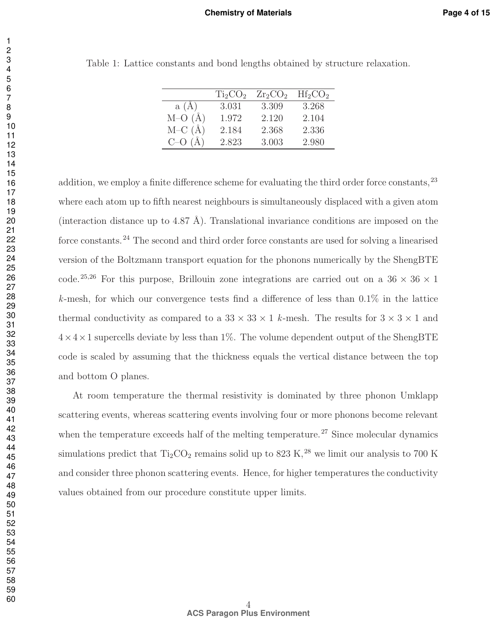|          | Ti <sub>2</sub> CO <sub>2</sub> | $Zr_2CO_2$ | $Hf_2CO_2$ |
|----------|---------------------------------|------------|------------|
| a(A)     | 3.031                           | 3.309      | 3.268      |
| $M-O(A)$ | 1.972                           | 2.120      | 2.104      |
| $M-C(A)$ | 2.184                           | 2.368      | 2.336      |
| $C - O$  | 2.823                           | 3.003      | 2.980      |

Table 1: Lattice constants and bond lengths obtained by structure relaxation.

addition, we employ a finite difference scheme for evaluating the third order force constants, <sup>23</sup> where each atom up to fifth nearest neighbours is simultaneously displaced with a given atom (interaction distance up to 4.87 Å). Translational invariance conditions are imposed on the force constants.<sup>24</sup> The second and third order force constants are used for solving a linearised version of the Boltzmann transport equation for the phonons numerically by the ShengBTE code.<sup>25,26</sup> For this purpose, Brillouin zone integrations are carried out on a  $36 \times 36 \times 1$ *k*-mesh, for which our convergence tests find a difference of less than 0.1% in the lattice thermal conductivity as compared to a  $33 \times 33 \times 1$  *k*-mesh. The results for  $3 \times 3 \times 1$  and  $4 \times 4 \times 1$  supercells deviate by less than 1%. The volume dependent output of the ShengBTE code is scaled by assuming that the thickness equals the vertical distance between the top and bottom O planes.

At room temperature the thermal resistivity is dominated by three phonon Umklapp scattering events, whereas scattering events involving four or more phonons become relevant when the temperature exceeds half of the melting temperature.<sup>27</sup> Since molecular dynamics simulations predict that  $Ti_2CO_2$  remains solid up to 823 K,<sup>28</sup> we limit our analysis to 700 K and consider three phonon scattering events. Hence, for higher temperatures the conductivity values obtained from our procedure constitute upper limits.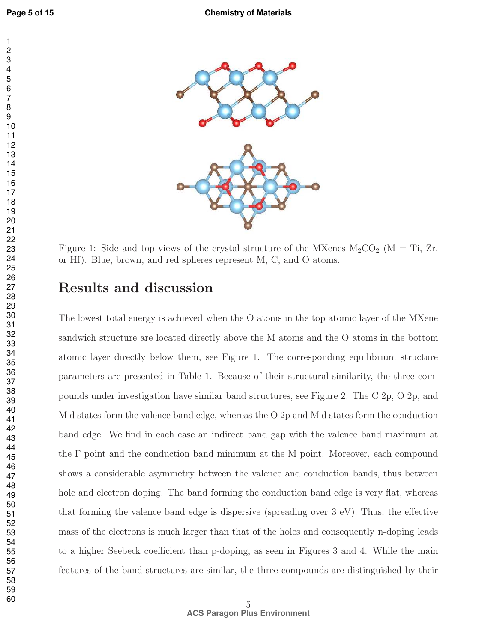

Figure 1: Side and top views of the crystal structure of the MXenes  $M_2CO_2$  (M = Ti, Zr, or Hf). Blue, brown, and red spheres represent M, C, and O atoms.

## Results and discussion

The lowest total energy is achieved when the O atoms in the top atomic layer of the MXene sandwich structure are located directly above the M atoms and the O atoms in the bottom atomic layer directly below them, see Figure 1. The corresponding equilibrium structure parameters are presented in Table 1. Because of their structural similarity, the three compounds under investigation have similar band structures, see Figure 2. The C 2p, O 2p, and M d states form the valence band edge, whereas the O 2p and M d states form the conduction band edge. We find in each case an indirect band gap with the valence band maximum at the Γ point and the conduction band minimum at the M point. Moreover, each compound shows a considerable asymmetry between the valence and conduction bands, thus between hole and electron doping. The band forming the conduction band edge is very flat, whereas that forming the valence band edge is dispersive (spreading over 3 eV). Thus, the effective mass of the electrons is much larger than that of the holes and consequently n-doping leads to a higher Seebeck coefficient than p-doping, as seen in Figures 3 and 4. While the main features of the band structures are similar, the three compounds are distinguished by their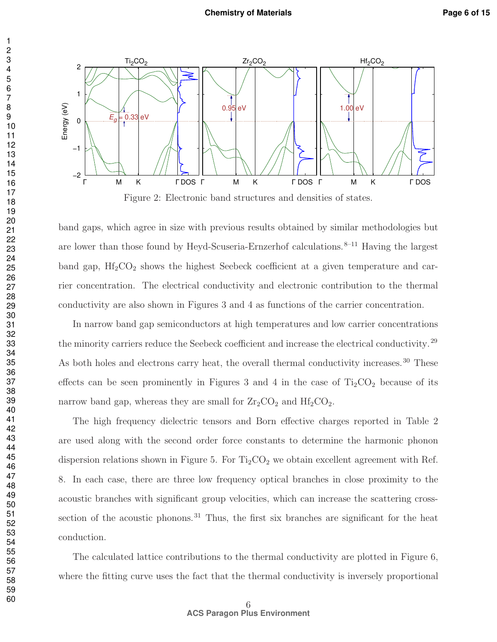

band gaps, which agree in size with previous results obtained by similar methodologies but are lower than those found by Heyd-Scuseria-Ernzerhof calculations. $8-11$  Having the largest band gap,  $\text{Hf}_2\text{CO}_2$  shows the highest Seebeck coefficient at a given temperature and carrier concentration. The electrical conductivity and electronic contribution to the thermal conductivity are also shown in Figures 3 and 4 as functions of the carrier concentration.

In narrow band gap semiconductors at high temperatures and low carrier concentrations the minority carriers reduce the Seebeck coefficient and increase the electrical conductivity.<sup>29</sup> As both holes and electrons carry heat, the overall thermal conductivity increases.<sup>30</sup> These effects can be seen prominently in Figures 3 and 4 in the case of  $Ti<sub>2</sub>CO<sub>2</sub>$  because of its narrow band gap, whereas they are small for  $Zr_2CO_2$  and  $Hf_2CO_2$ .

The high frequency dielectric tensors and Born effective charges reported in Table 2 are used along with the second order force constants to determine the harmonic phonon dispersion relations shown in Figure 5. For  $Ti<sub>2</sub>CO<sub>2</sub>$  we obtain excellent agreement with Ref. 8. In each case, there are three low frequency optical branches in close proximity to the acoustic branches with significant group velocities, which can increase the scattering crosssection of the acoustic phonons.<sup>31</sup> Thus, the first six branches are significant for the heat conduction.

The calculated lattice contributions to the thermal conductivity are plotted in Figure 6, where the fitting curve uses the fact that the thermal conductivity is inversely proportional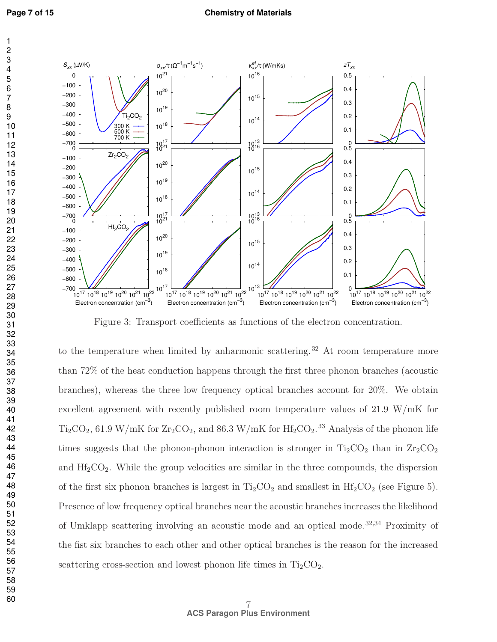

Figure 3: Transport coefficients as functions of the electron concentration.

to the temperature when limited by anharmonic scattering.<sup>32</sup> At room temperature more than 72% of the heat conduction happens through the first three phonon branches (acoustic branches), whereas the three low frequency optical branches account for 20%. We obtain excellent agreement with recently published room temperature values of 21.9 W/mK for  $Ti<sub>2</sub>CO<sub>2</sub>$ , 61.9 W/mK for  $Zr<sub>2</sub>CO<sub>2</sub>$ , and 86.3 W/mK for  $Hf<sub>2</sub>CO<sub>2</sub>$ .<sup>33</sup> Analysis of the phonon life times suggests that the phonon-phonon interaction is stronger in  $Ti_2CO_2$  than in  $Zr_2CO_2$ and  $\text{Hf}_2\text{CO}_2$ . While the group velocities are similar in the three compounds, the dispersion of the first six phonon branches is largest in  $Ti<sub>2</sub>CO<sub>2</sub>$  and smallest in  $Hf<sub>2</sub>CO<sub>2</sub>$  (see Figure 5). Presence of low frequency optical branches near the acoustic branches increases the likelihood of Umklapp scattering involving an acoustic mode and an optical mode. 32,34 Proximity of the fist six branches to each other and other optical branches is the reason for the increased scattering cross-section and lowest phonon life times in  $Ti<sub>2</sub>CO<sub>2</sub>$ .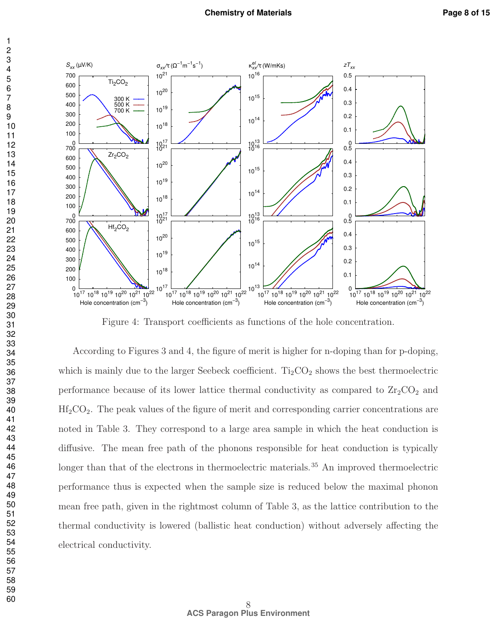

Figure 4: Transport coefficients as functions of the hole concentration.

According to Figures 3 and 4, the figure of merit is higher for n-doping than for p-doping, which is mainly due to the larger Seebeck coefficient.  $Ti<sub>2</sub>CO<sub>2</sub>$  shows the best thermoelectric performance because of its lower lattice thermal conductivity as compared to  $Zr_2CO_2$  and  $Hf_2CO_2$ . The peak values of the figure of merit and corresponding carrier concentrations are noted in Table 3. They correspond to a large area sample in which the heat conduction is diffusive. The mean free path of the phonons responsible for heat conduction is typically longer than that of the electrons in thermoelectric materials.<sup>35</sup> An improved thermoelectric performance thus is expected when the sample size is reduced below the maximal phonon mean free path, given in the rightmost column of Table 3, as the lattice contribution to the thermal conductivity is lowered (ballistic heat conduction) without adversely affecting the electrical conductivity.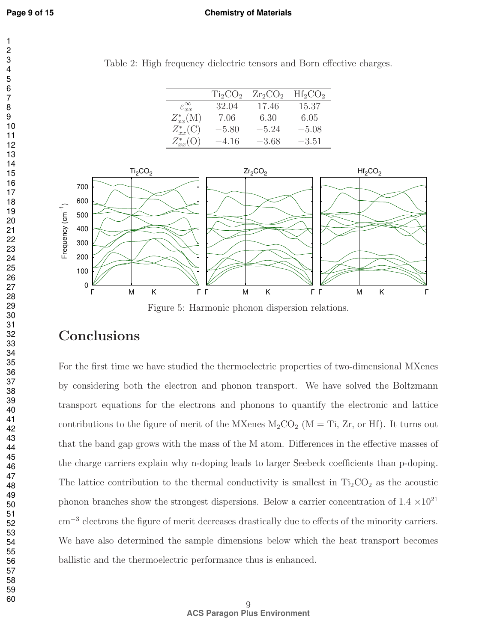#### **Chemistry of Materials**

Table 2: High frequency dielectric tensors and Born effective charges.

|                             | Ti <sub>2</sub> CO <sub>2</sub> | $Zr_2CO_2$ | $Hf_2CO_2$ |
|-----------------------------|---------------------------------|------------|------------|
| $\varepsilon_{xx}^{\infty}$ | 32.04                           | 17.46      | 15.37      |
| $Z_{xx}^*(M)$               | 7.06                            | 6.30       | 6.05       |
| $Z_{xx}^*(C)$               | $-5.80$                         | $-5.24$    | $-5.08$    |
| $Z_{xx}^*(O)$               | $-4.16$                         | $-3.68$    | $-3.51$    |



Figure 5: Harmonic phonon dispersion relations.

## Conclusions

For the first time we have studied the thermoelectric properties of two-dimensional MXenes by considering both the electron and phonon transport. We have solved the Boltzmann transport equations for the electrons and phonons to quantify the electronic and lattice contributions to the figure of merit of the MXenes  $M_2CO_2$  (M = Ti, Zr, or Hf). It turns out that the band gap grows with the mass of the M atom. Differences in the effective masses of the charge carriers explain why n-doping leads to larger Seebeck coefficients than p-doping. The lattice contribution to the thermal conductivity is smallest in  $Ti<sub>2</sub>CO<sub>2</sub>$  as the acoustic phonon branches show the strongest dispersions. Below a carrier concentration of 1.4  $\times10^{21}$ cm<sup>−</sup><sup>3</sup> electrons the figure of merit decreases drastically due to effects of the minority carriers. We have also determined the sample dimensions below which the heat transport becomes ballistic and the thermoelectric performance thus is enhanced.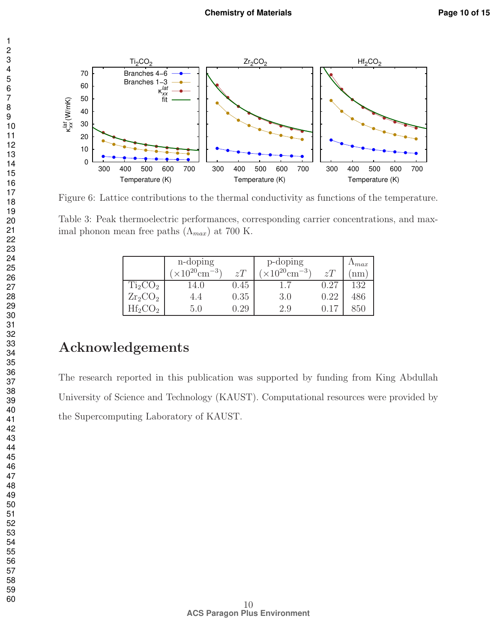

Figure 6: Lattice contributions to the thermal conductivity as functions of the temperature.

Table 3: Peak thermoelectric performances, corresponding carrier concentrations, and maximal phonon mean free paths  $(\Lambda_{max})$  at 700 K.

|            | n-doping                            |          | p-doping                   |      | $\Delta$ max |
|------------|-------------------------------------|----------|----------------------------|------|--------------|
|            | $\times 10^{20}$ cm <sup>-3</sup> ) | zT       | $(10^{20} \text{cm}^{-3})$ | zT   | nm           |
| $Ti_2CO_2$ |                                     | $0.45\,$ |                            | 0.27 | 132          |
| $Zr_2CO_2$ | 4.4                                 | 0.35     | 3.0                        | 0.22 | 486          |
| $Hf2$ C    | 5.0                                 | .29      | 2.9                        |      | 850          |

# Acknowledgements

The research reported in this publication was supported by funding from King Abdullah University of Science and Technology (KAUST). Computational resources were provided by the Supercomputing Laboratory of KAUST.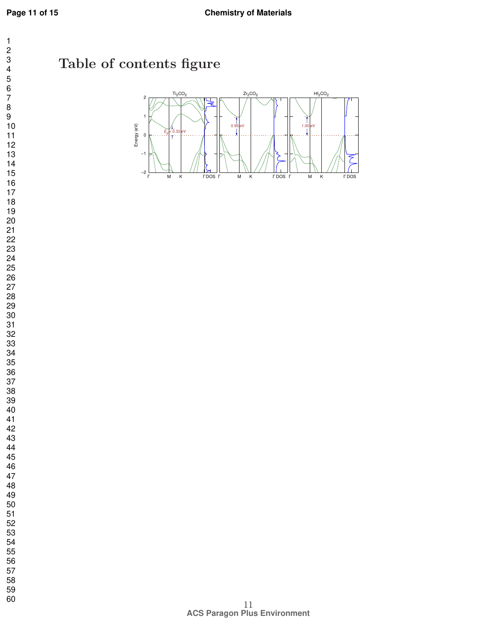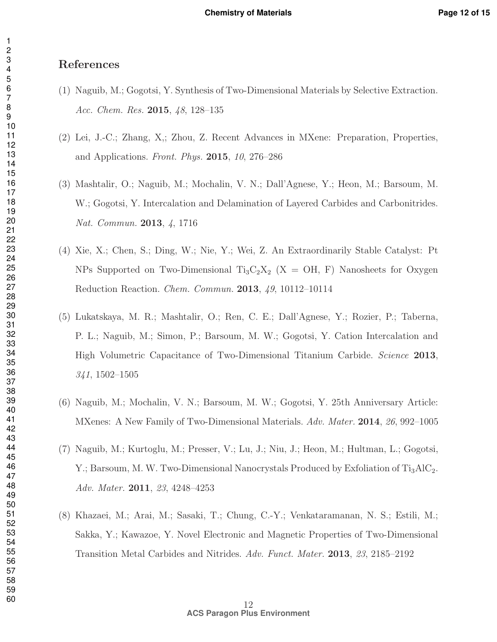## References

- (1) Naguib, M.; Gogotsi, Y. Synthesis of Two-Dimensional Materials by Selective Extraction. *Acc. Chem. Res.* 2015, *48*, 128–135
- (2) Lei, J.-C.; Zhang, X,; Zhou, Z. Recent Advances in MXene: Preparation, Properties, and Applications. *Front. Phys.* 2015, *10*, 276–286
- (3) Mashtalir, O.; Naguib, M.; Mochalin, V. N.; Dall'Agnese, Y.; Heon, M.; Barsoum, M. W.; Gogotsi, Y. Intercalation and Delamination of Layered Carbides and Carbonitrides. *Nat. Commun.* 2013, *4*, 1716
- (4) Xie, X.; Chen, S.; Ding, W.; Nie, Y.; Wei, Z. An Extraordinarily Stable Catalyst: Pt NPs Supported on Two-Dimensional Ti<sub>3</sub>C<sub>2</sub>X<sub>2</sub> (X = OH, F) Nanosheets for Oxygen Reduction Reaction. *Chem. Commun.* 2013, *49*, 10112–10114
- (5) Lukatskaya, M. R.; Mashtalir, O.; Ren, C. E.; Dall'Agnese, Y.; Rozier, P.; Taberna, P. L.; Naguib, M.; Simon, P.; Barsoum, M. W.; Gogotsi, Y. Cation Intercalation and High Volumetric Capacitance of Two-Dimensional Titanium Carbide. *Science* 2013, , 1502–1505
- (6) Naguib, M.; Mochalin, V. N.; Barsoum, M. W.; Gogotsi, Y. 25th Anniversary Article: MXenes: A New Family of Two-Dimensional Materials. *Adv. Mater.* 2014, *26*, 992–1005
- (7) Naguib, M.; Kurtoglu, M.; Presser, V.; Lu, J.; Niu, J.; Heon, M.; Hultman, L.; Gogotsi, Y.; Barsoum, M. W. Two-Dimensional Nanocrystals Produced by Exfoliation of  $Ti<sub>3</sub>AlC<sub>2</sub>$ . *Adv. Mater.* 2011, *23*, 4248–4253
- (8) Khazaei, M.; Arai, M.; Sasaki, T.; Chung, C.-Y.; Venkataramanan, N. S.; Estili, M.; Sakka, Y.; Kawazoe, Y. Novel Electronic and Magnetic Properties of Two-Dimensional Transition Metal Carbides and Nitrides. *Adv. Funct. Mater.* 2013, *23*, 2185–2192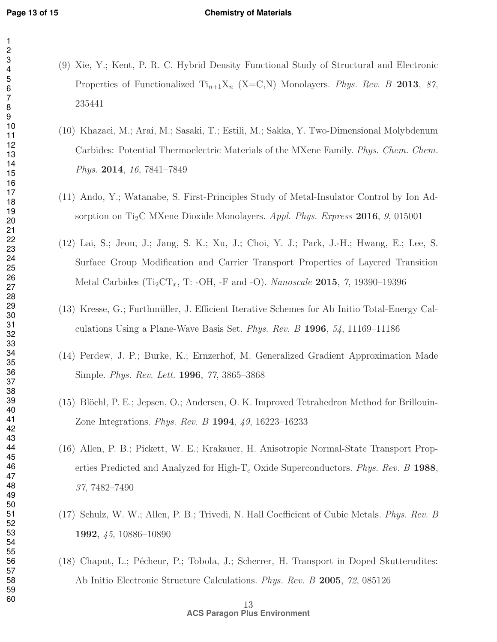#### **Chemistry of Materials**

- 
- (9) Xie, Y.; Kent, P. R. C. Hybrid Density Functional Study of Structural and Electronic Properties of Functionalized  $Ti_{n+1}X_n$  (X=C,N) Monolayers. *Phys. Rev. B* 2013, 87,
- (10) Khazaei, M.; Arai, M.; Sasaki, T.; Estili, M.; Sakka, Y. Two-Dimensional Molybdenum Carbides: Potential Thermoelectric Materials of the MXene Family. *Phys. Chem. Chem. Phys.* 2014, *16*, 7841–7849
- (11) Ando, Y.; Watanabe, S. First-Principles Study of Metal-Insulator Control by Ion Adsorption on Ti2C MXene Dioxide Monolayers. *Appl. Phys. Express* 2016, *9*, 015001
- (12) Lai, S.; Jeon, J.; Jang, S. K.; Xu, J.; Choi, Y. J.; Park, J.-H.; Hwang, E.; Lee, S. Surface Group Modification and Carrier Transport Properties of Layered Transition Metal Carbides (Ti<sub>2</sub>CT<sub>x</sub>, T: -OH, -F and -O). *Nanoscale* **2015**, 7, 19390–19396
- $(13)$  Kresse, G.; Furthmüller, J. Efficient Iterative Schemes for Ab Initio Total-Energy Calculations Using a Plane-Wave Basis Set. *Phys. Rev. B* 1996, *54*, 11169–11186
- (14) Perdew, J. P.; Burke, K.; Ernzerhof, M. Generalized Gradient Approximation Made Simple. *Phys. Rev. Lett.* 1996, *77*, 3865–3868
- $(15)$  Blöchl, P. E.; Jepsen, O.; Andersen, O. K. Improved Tetrahedron Method for Brillouin-Zone Integrations. *Phys. Rev. B* 1994, *49*, 16223–16233
- (16) Allen, P. B.; Pickett, W. E.; Krakauer, H. Anisotropic Normal-State Transport Properties Predicted and Analyzed for High- $T_c$  Oxide Superconductors. *Phys. Rev. B* 1988, , 7482–7490
- (17) Schulz, W. W.; Allen, P. B.; Trivedi, N. Hall Coefficient of Cubic Metals. *Phys. Rev. B* , *45*, 10886–10890
- (18) Chaput, L.; Pécheur, P.; Tobola, J.; Scherrer, H. Transport in Doped Skutterudites: Ab Initio Electronic Structure Calculations. *Phys. Rev. B* 2005, *72*, 085126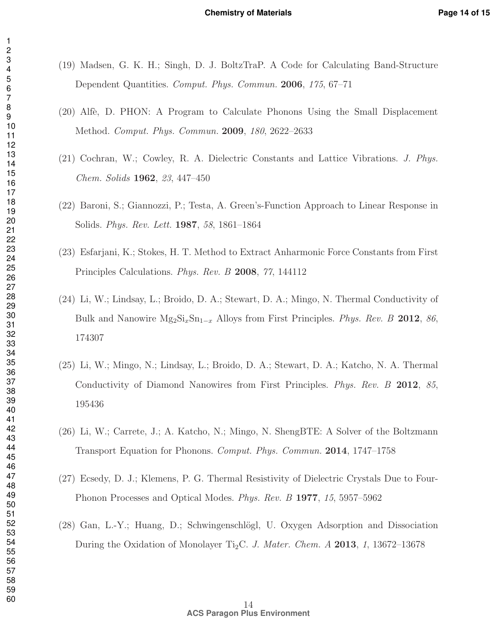- (19) Madsen, G. K. H.; Singh, D. J. BoltzTraP. A Code for Calculating Band-Structure Dependent Quantities. *Comput. Phys. Commun.* 2006, *175*, 67–71
- (20) Alf`e, D. PHON: A Program to Calculate Phonons Using the Small Displacement Method. *Comput. Phys. Commun.* 2009, *180*, 2622–2633
- (21) Cochran, W.; Cowley, R. A. Dielectric Constants and Lattice Vibrations. *J. Phys. Chem. Solids* 1962, *23*, 447–450
- (22) Baroni, S.; Giannozzi, P.; Testa, A. Green's-Function Approach to Linear Response in Solids. *Phys. Rev. Lett.* 1987, *58*, 1861–1864
- (23) Esfarjani, K.; Stokes, H. T. Method to Extract Anharmonic Force Constants from First Principles Calculations. *Phys. Rev. B* 2008, *77*, 144112
- (24) Li, W.; Lindsay, L.; Broido, D. A.; Stewart, D. A.; Mingo, N. Thermal Conductivity of Bulk and Nanowire Mg2SixSn1−<sup>x</sup> Alloys from First Principles. *Phys. Rev. B* 2012, *86*,
- (25) Li, W.; Mingo, N.; Lindsay, L.; Broido, D. A.; Stewart, D. A.; Katcho, N. A. Thermal Conductivity of Diamond Nanowires from First Principles. *Phys. Rev. B* 2012, *85*,
- (26) Li, W.; Carrete, J.; A. Katcho, N.; Mingo, N. ShengBTE: A Solver of the Boltzmann Transport Equation for Phonons. *Comput. Phys. Commun.* 2014, 1747–1758
- (27) Ecsedy, D. J.; Klemens, P. G. Thermal Resistivity of Dielectric Crystals Due to Four-Phonon Processes and Optical Modes. *Phys. Rev. B* 1977, *15*, 5957–5962
- (28) Gan, L.-Y.; Huang, D.; Schwingenschlögl, U. Oxygen Adsorption and Dissociation During the Oxidation of Monolayer Ti2C. *J. Mater. Chem. A* 2013, *1*, 13672–13678